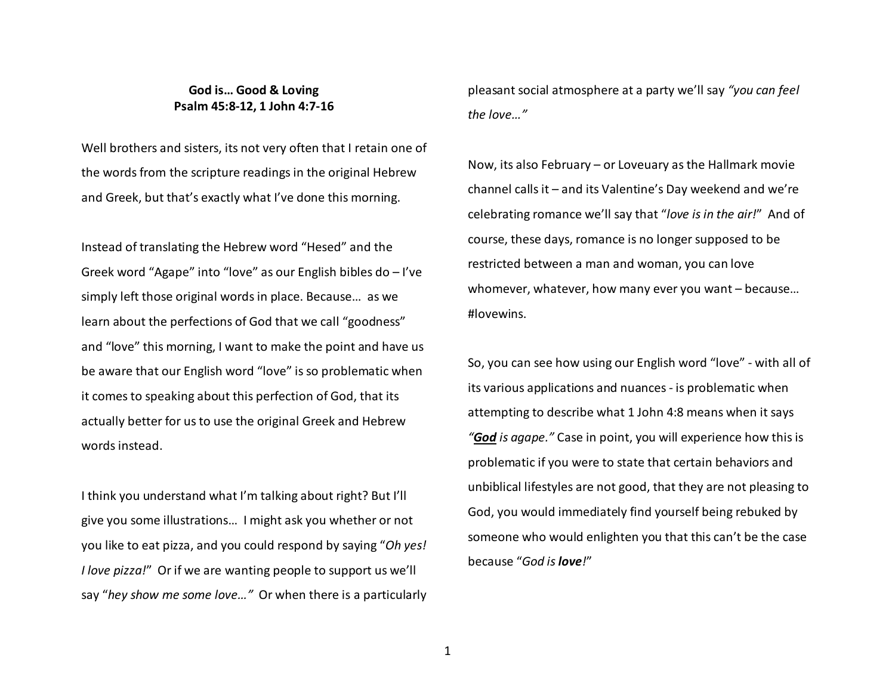## **God is… Good & Loving Psalm 45:8-12, 1 John 4:7-16**

Well brothers and sisters, its not very often that I retain one of the words from the scripture readings in the original Hebrew and Greek, but that's exactly what I've done this morning.

Instead of translating the Hebrew word "Hesed" and the Greek word "Agape" into "love" as our English bibles do – I've simply left those original words in place. Because… as we learn about the perfections of God that we call "goodness" and "love" this morning, I want to make the point and have us be aware that our English word "love" is so problematic when it comes to speaking about this perfection of God, that its actually better for us to use the original Greek and Hebrew words instead.

I think you understand what I'm talking about right? But I'll give you some illustrations… I might ask you whether or not you like to eat pizza, and you could respond by saying "*Oh yes! I love pizza!*" Or if we are wanting people to support us we'll say "*hey show me some love…"* Or when there is a particularly pleasant social atmosphere at a party we'll say *"you can feel the love…"* 

Now, its also February – or Loveuary as the Hallmark movie channel calls it – and its Valentine's Day weekend and we're celebrating romance we'll say that "*love is in the air!*" And of course, these days, romance is no longer supposed to be restricted between a man and woman, you can love whomever, whatever, how many ever you want – because…#lovewins.

So, you can see how using our English word "love" - with all of its various applications and nuances - is problematic when attempting to describe what 1 John 4:8 means when it says *"God is agape."* Case in point, you will experience how this is problematic if you were to state that certain behaviors and unbiblical lifestyles are not good, that they are not pleasing to God, you would immediately find yourself being rebuked by someone who would enlighten you that this can't be the case because "*God is love!*"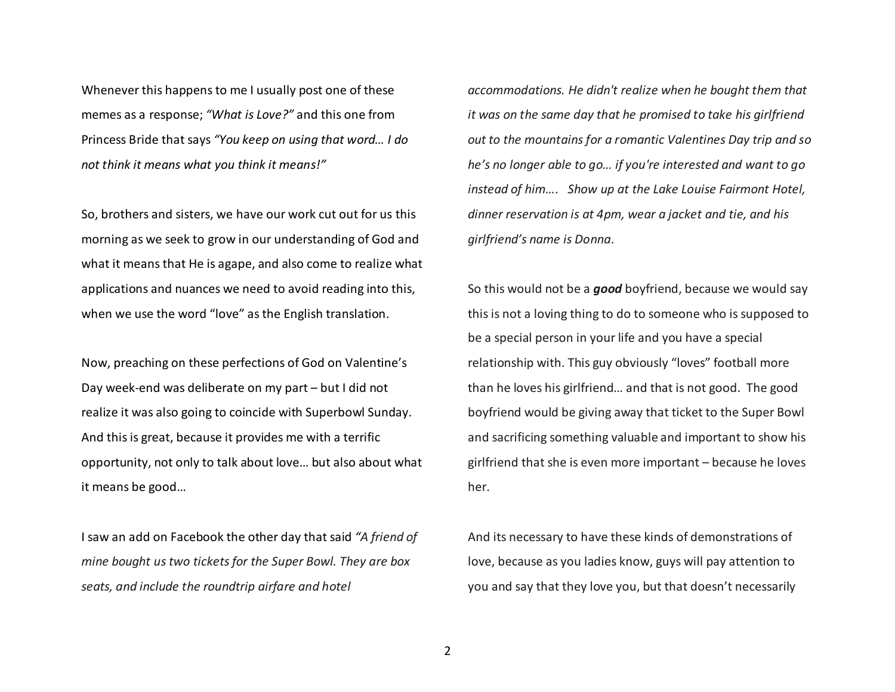Whenever this happens to me I usually post one of these memes as a response; *"What is Love?"* and this one from Princess Bride that says *"You keep on using that word… I do not think it means what you think it means!"* 

So, brothers and sisters, we have our work cut out for us this morning as we seek to grow in our understanding of God and what it means that He is agape, and also come to realize what applications and nuances we need to avoid reading into this, when we use the word "love" as the English translation.

Now, preaching on these perfections of God on Valentine's Day week-end was deliberate on my part – but I did not realize it was also going to coincide with Superbowl Sunday. And this is great, because it provides me with a terrific opportunity, not only to talk about love… but also about what it means be good…

I saw an add on Facebook the other day that said *"A friend of mine bought us two tickets for the Super Bowl. They are box seats, and include the roundtrip airfare and hotel* 

*accommodations. He didn't realize when he bought them that it was on the same day that he promised to take his girlfriend out to the mountains for a romantic Valentines Day trip and so he's no longer able to go… if you're interested and want to go instead of him…. Show up at the Lake Louise Fairmont Hotel, dinner reservation is at 4pm, wear a jacket and tie, and his girlfriend's name is Donna.* 

So this would not be a *good* boyfriend, because we would say this is not a loving thing to do to someone who is supposed to be a special person in your life and you have a special relationship with. This guy obviously "loves" football more than he loves his girlfriend… and that is not good. The good boyfriend would be giving away that ticket to the Super Bowl and sacrificing something valuable and important to show his girlfriend that she is even more important – because he loves her.

And its necessary to have these kinds of demonstrations of love, because as you ladies know, guys will pay attention to you and say that they love you, but that doesn't necessarily

2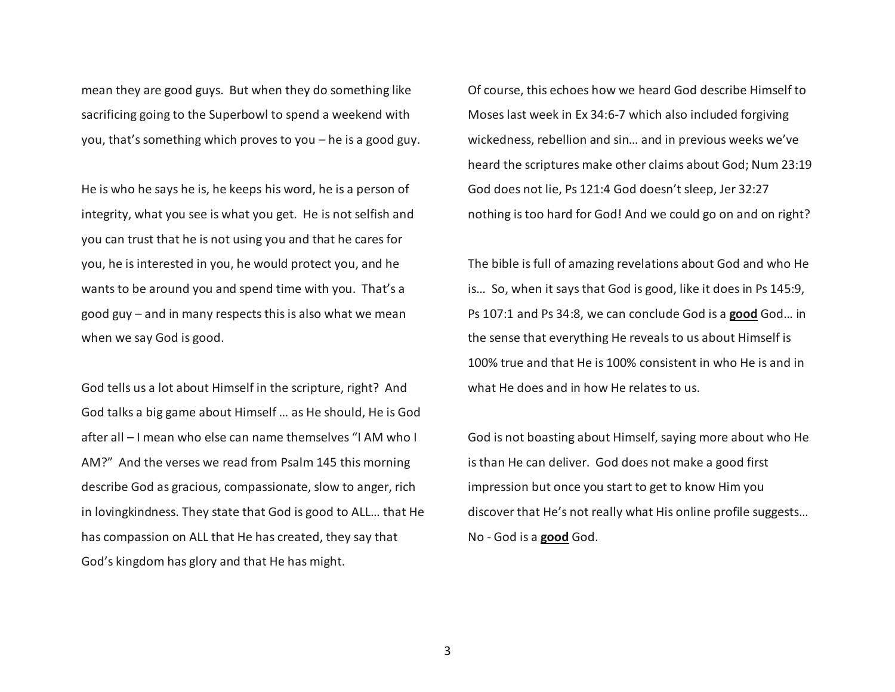mean they are good guys. But when they do something like sacrificing going to the Superbowl to spend a weekend with you, that's something which proves to you – he is a good guy.

He is who he says he is, he keeps his word, he is a person of integrity, what you see is what you get. He is not selfish and you can trust that he is not using you and that he cares for you, he is interested in you, he would protect you, and he wants to be around you and spend time with you. That's a good guy – and in many respects this is also what we mean when we say God is good.

God tells us a lot about Himself in the scripture, right? And God talks a big game about Himself … as He should, He is God after all – I mean who else can name themselves "I AM who I AM?" And the verses we read from Psalm 145 this morning describe God as gracious, compassionate, slow to anger, rich in lovingkindness. They state that God is good to ALL… that He has compassion on ALL that He has created, they say that God's kingdom has glory and that He has might.

Of course, this echoes how we heard God describe Himself to Moses last week in Ex 34:6-7 which also included forgiving wickedness, rebellion and sin… and in previous weeks we've heard the scriptures make other claims about God; Num 23:19 God does not lie, Ps 121:4 God doesn't sleep, Jer 32:27 nothing is too hard for God! And we could go on and on right?

The bible is full of amazing revelations about God and who He is… So, when it says that God is good, like it does in Ps 145:9, Ps 107:1 and Ps 34:8, we can conclude God is a **good** God… in the sense that everything He reveals to us about Himself is 100% true and that He is 100% consistent in who He is and in what He does and in how He relates to us.

God is not boasting about Himself, saying more about who He is than He can deliver. God does not make a good first impression but once you start to get to know Him you discover that He's not really what His online profile suggests… No - God is a **good** God.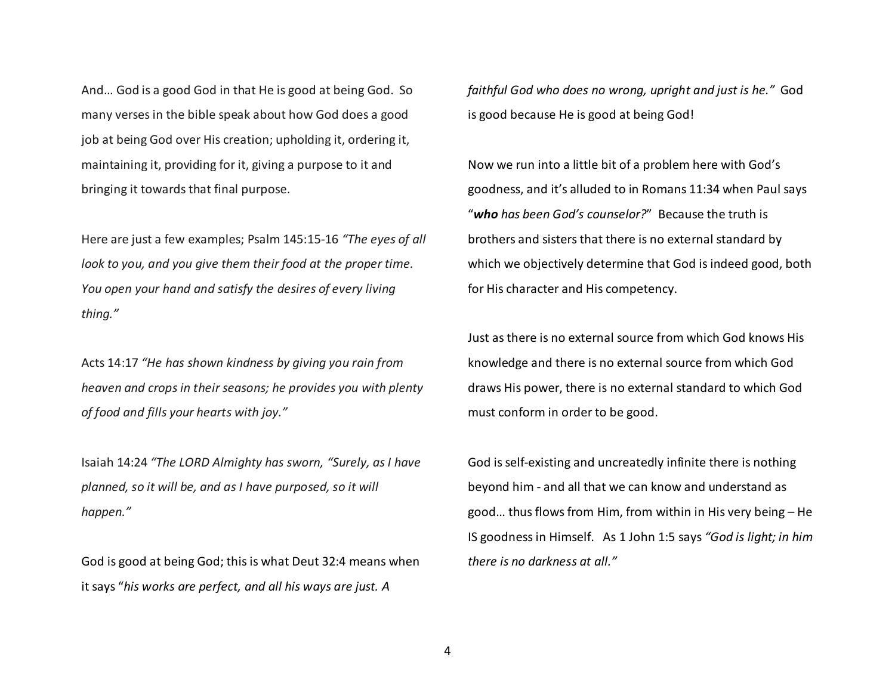And… God is a good God in that He is good at being God. So many verses in the bible speak about how God does a good job at being God over His creation; upholding it, ordering it, maintaining it, providing for it, giving a purpose to it and bringing it towards that final purpose.

Here are just a few examples; Psalm 145:15-16 *"The eyes of all look to you, and you give them their food at the proper time. You open your hand and satisfy the desires of every living thing."*

Acts 14:17 *"He has shown kindness by giving you rain from heaven and crops in their seasons; he provides you with plenty of food and fills your hearts with joy."*

Isaiah 14:24 *"The LORD Almighty has sworn, "Surely, as I have planned, so it will be, and as I have purposed, so it will happen."*

God is good at being God; this is what Deut 32:4 means when it says "*his works are perfect, and all his ways are just. A*

*faithful God who does no wrong, upright and just is he."* God is good because He is good at being God!

Now we run into a little bit of a problem here with God's goodness, and it's alluded to in Romans 11:34 when Paul says "*who has been God's counselor?*" Because the truth is brothers and sisters that there is no external standard by which we objectively determine that God is indeed good, both for His character and His competency.

Just as there is no external source from which God knows His knowledge and there is no external source from which God draws His power, there is no external standard to which God must conform in order to be good.

God is self-existing and uncreatedly infinite there is nothing beyond him - and all that we can know and understand as good… thus flows from Him, from within in His very being – He IS goodness in Himself. As 1 John 1:5 says *"God is light; in him there is no darkness at all."*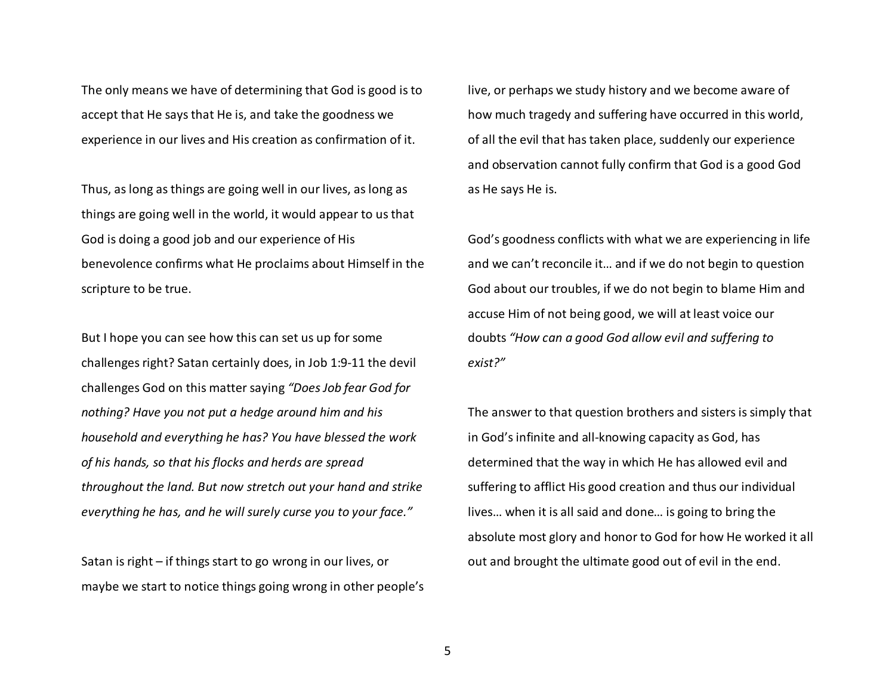The only means we have of determining that God is good is to accept that He says that He is, and take the goodness we experience in our lives and His creation as confirmation of it.

Thus, as long as things are going well in our lives, as long as things are going well in the world, it would appear to us that God is doing a good job and our experience of His benevolence confirms what He proclaims about Himself in the scripture to be true.

But I hope you can see how this can set us up for some challenges right? Satan certainly does, in Job 1:9-11 the devil challenges God on this matter saying *"Does Job fear God for nothing? Have you not put a hedge around him and his household and everything he has? You have blessed the work of his hands, so that his flocks and herds are spread throughout the land. But now stretch out your hand and strike everything he has, and he will surely curse you to your face."*

Satan is right – if things start to go wrong in our lives, or maybe we start to notice things going wrong in other people's live, or perhaps we study history and we become aware of how much tragedy and suffering have occurred in this world, of all the evil that has taken place, suddenly our experience and observation cannot fully confirm that God is a good God as He says He is.

God's goodness conflicts with what we are experiencing in life and we can't reconcile it… and if we do not begin to question God about our troubles, if we do not begin to blame Him and accuse Him of not being good, we will at least voice our doubts *"How can a good God allow evil and suffering to exist?"* 

The answer to that question brothers and sisters is simply that in God's infinite and all-knowing capacity as God, has determined that the way in which He has allowed evil and suffering to afflict His good creation and thus our individual lives… when it is all said and done… is going to bring the absolute most glory and honor to God for how He worked it all out and brought the ultimate good out of evil in the end.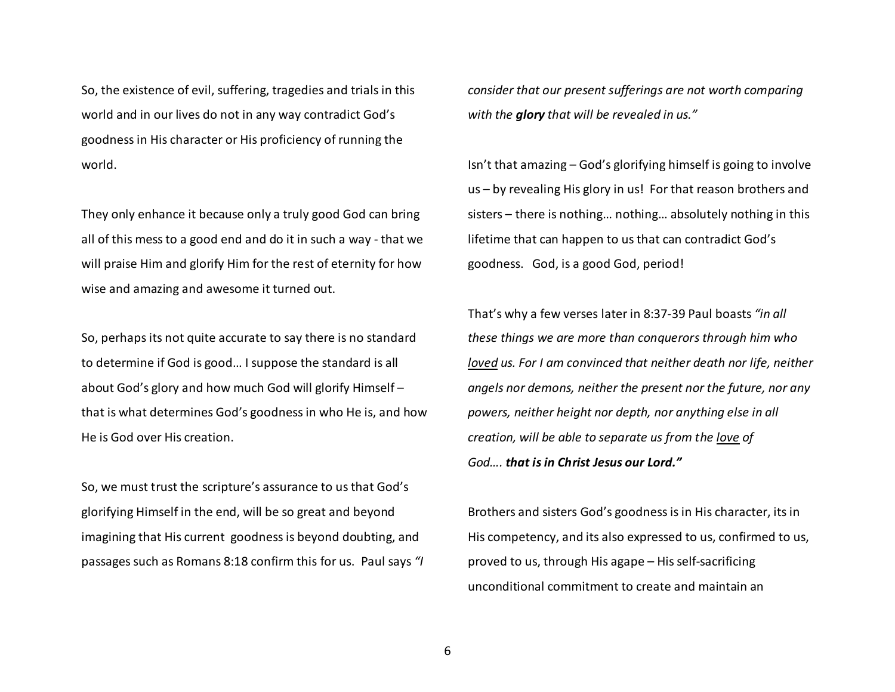So, the existence of evil, suffering, tragedies and trials in this world and in our lives do not in any way contradict God's goodness in His character or His proficiency of running the world.

They only enhance it because only a truly good God can bring all of this mess to a good end and do it in such a way - that we will praise Him and glorify Him for the rest of eternity for how wise and amazing and awesome it turned out.

So, perhaps its not quite accurate to say there is no standard to determine if God is good… I suppose the standard is all about God's glory and how much God will glorify Himself – that is what determines God's goodness in who He is, and how He is God over His creation.

So, we must trust the scripture's assurance to us that God's glorifying Himself in the end, will be so great and beyond imagining that His current goodness is beyond doubting, and passages such as Romans 8:18 confirm this for us. Paul says *"I*  *consider that our present sufferings are not worth comparing with the glory that will be revealed in us."*

Isn't that amazing – God's glorifying himself is going to involve us – by revealing His glory in us! For that reason brothers and sisters – there is nothing… nothing… absolutely nothing in this lifetime that can happen to us that can contradict God's goodness. God, is a good God, period!

That's why a few verses later in 8:37-39 Paul boasts *"in all these things we are more than conquerors through him who loved us. For I am convinced that neither death nor life, neither angels nor demons, neither the present nor the future, nor any powers, neither height nor depth, nor anything else in all creation, will be able to separate us from the love of God…. that is in Christ Jesus our Lord."*

Brothers and sisters God's goodness is in His character, its in His competency, and its also expressed to us, confirmed to us, proved to us, through His agape – His self-sacrificing unconditional commitment to create and maintain an

6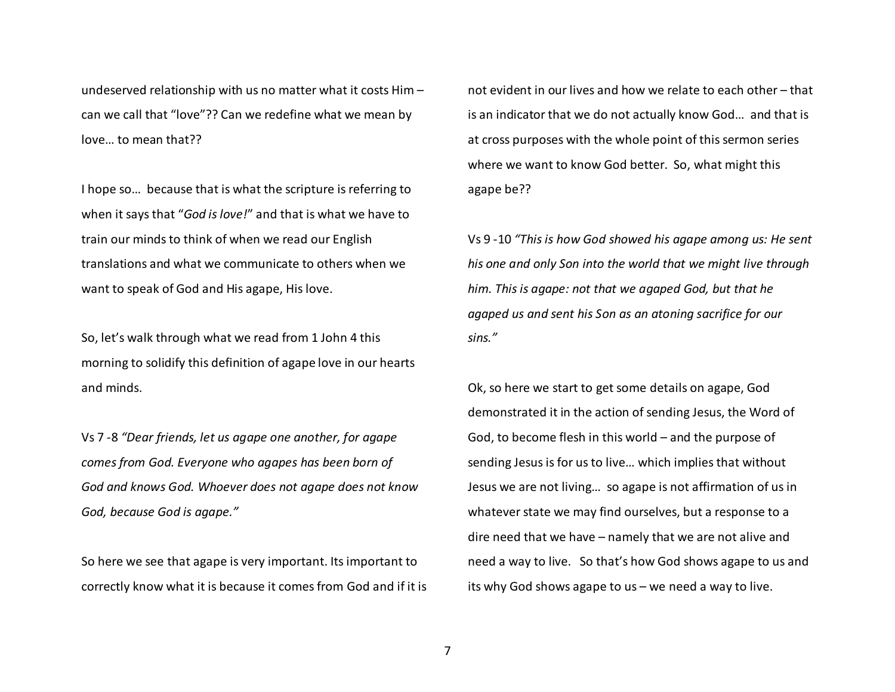undeserved relationship with us no matter what it costs Him – can we call that "love"?? Can we redefine what we mean by love… to mean that??

I hope so… because that is what the scripture is referring to when it says that "*God is love!*" and that is what we have to train our minds to think of when we read our English translations and what we communicate to others when we want to speak of God and His agape, His love.

So, let's walk through what we read from 1 John 4 this morning to solidify this definition of agape love in our hearts and minds.

Vs 7 -8 *"Dear friends, let us agape one another, for agape comes from God. Everyone who agapes has been born of God and knows God. Whoever does not agape does not know God, because God is agape."*

So here we see that agape is very important. Its important to correctly know what it is because it comes from God and if it is

not evident in our lives and how we relate to each other – that is an indicator that we do not actually know God… and that is at cross purposes with the whole point of this sermon series where we want to know God better. So, what might this agape be??

Vs 9 -10 *"This is how God showed his agape among us: He senthis one and only Son into the world that we might live through him. This is agape: not that we agaped God, but that he agaped us and sent his Son as an atoning sacrifice for our sins."*

Ok, so here we start to get some details on agape, God demonstrated it in the action of sending Jesus, the Word of God, to become flesh in this world – and the purpose of sending Jesus is for us to live… which implies that without Jesus we are not living… so agape is not affirmation of us in whatever state we may find ourselves, but a response to a dire need that we have – namely that we are not alive and need a way to live. So that's how God shows agape to us and its why God shows agape to us – we need a way to live.

7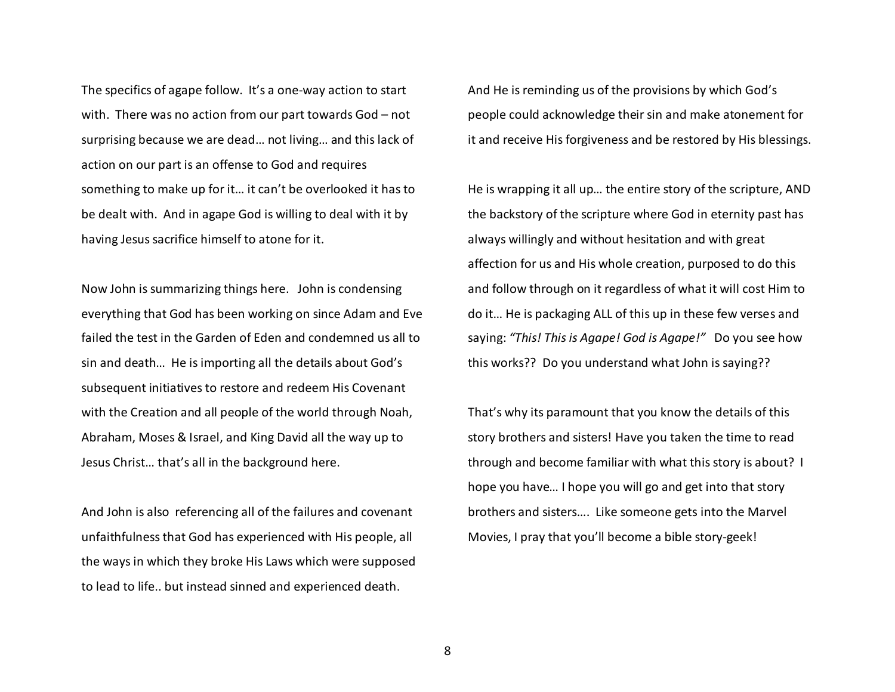The specifics of agape follow. It's a one-way action to start with. There was no action from our part towards God – not surprising because we are dead… not living… and this lack of action on our part is an offense to God and requires something to make up for it… it can't be overlooked it has to be dealt with. And in agape God is willing to deal with it by having Jesus sacrifice himself to atone for it.

Now John is summarizing things here. John is condensing everything that God has been working on since Adam and Eve failed the test in the Garden of Eden and condemned us all to sin and death… He is importing all the details about God's subsequent initiatives to restore and redeem His Covenant with the Creation and all people of the world through Noah, Abraham, Moses & Israel, and King David all the way up to Jesus Christ… that's all in the background here.

And John is also referencing all of the failures and covenant unfaithfulness that God has experienced with His people, all the ways in which they broke His Laws which were supposed to lead to life.. but instead sinned and experienced death.

And He is reminding us of the provisions by which God's people could acknowledge their sin and make atonement for it and receive His forgiveness and be restored by His blessings.

He is wrapping it all up… the entire story of the scripture, AND the backstory of the scripture where God in eternity past has always willingly and without hesitation and with great affection for us and His whole creation, purposed to do this and follow through on it regardless of what it will cost Him to do it… He is packaging ALL of this up in these few verses and saying: *"This! This is Agape! God is Agape!"* Do you see how this works?? Do you understand what John is saying??

That's why its paramount that you know the details of this story brothers and sisters! Have you taken the time to read through and become familiar with what this story is about? I hope you have… I hope you will go and get into that story brothers and sisters…. Like someone gets into the Marvel Movies, I pray that you'll become a bible story-geek!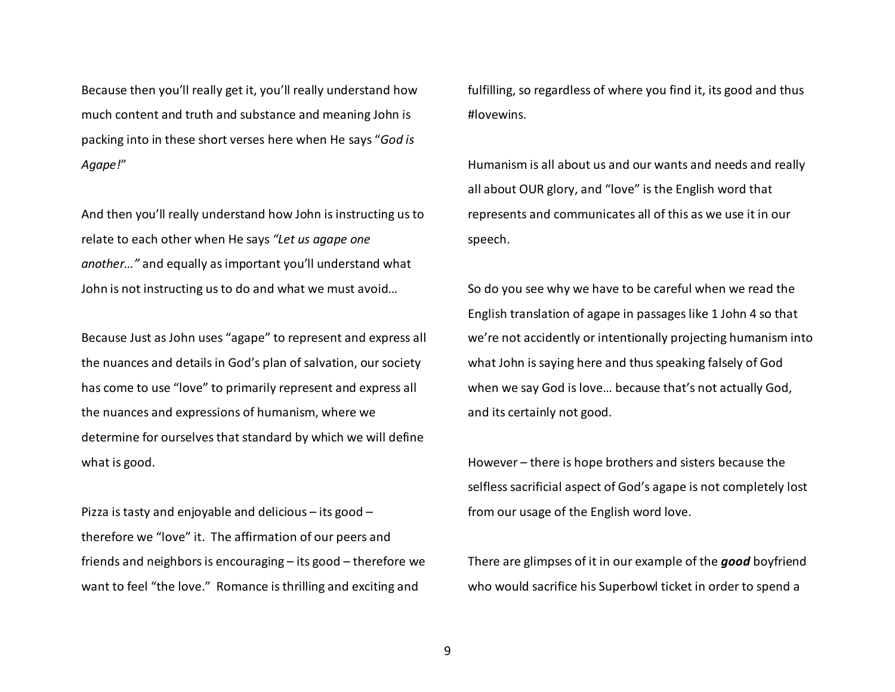Because then you'll really get it, you'll really understand how much content and truth and substance and meaning John is packing into in these short verses here when He says "*God is Agape!*"

And then you'll really understand how John is instructing us to relate to each other when He says *"Let us agape one another…"* and equally as important you'll understand what John is not instructing us to do and what we must avoid…

Because Just as John uses "agape" to represent and express all the nuances and details in God's plan of salvation, our society has come to use "love" to primarily represent and express all the nuances and expressions of humanism, where we determine for ourselves that standard by which we will define what is good.

Pizza is tasty and enjoyable and delicious – its good – therefore we "love" it. The affirmation of our peers and friends and neighbors is encouraging – its good – therefore we want to feel "the love." Romance is thrilling and exciting and

fulfilling, so regardless of where you find it, its good and thus #lovewins.

Humanism is all about us and our wants and needs and really all about OUR glory, and "love" is the English word that represents and communicates all of this as we use it in our speech.

So do you see why we have to be careful when we read the English translation of agape in passages like 1 John 4 so that we're not accidently or intentionally projecting humanism into what John is saying here and thus speaking falsely of God when we say God is love… because that's not actually God, and its certainly not good.

However – there is hope brothers and sisters because the selfless sacrificial aspect of God's agape is not completely lost from our usage of the English word love.

There are glimpses of it in our example of the *good* boyfriend who would sacrifice his Superbowl ticket in order to spend a